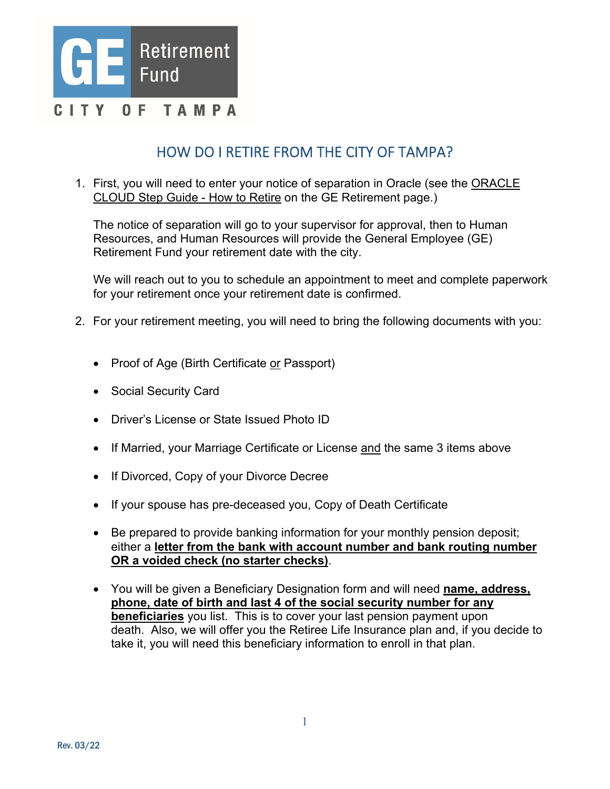

## HOW DO I RETIRE FROM THE CITY OF TAMPA?

1. First, you will need to enter your notice of separation in Oracle (see the ORACLE CLOUD Step Guide - How to Retire on the GE Retirement page.)

The notice of separation will go to your supervisor for approval, then to Human Resources, and Human Resources will provide the General Employee (GE) Retirement Fund your retirement date with the city.

We will reach out to you to schedule an appointment to meet and complete paperwork for your retirement once your retirement date is confirmed.

- 2. For your retirement meeting, you will need to bring the following documents with you:
	- Proof of Age (Birth Certificate or Passport)
	- Social Security Card
	- Driver's License or State Issued Photo ID
	- If Married, your Marriage Certificate or License and the same 3 items above
	- If Divorced, Copy of your Divorce Decree
	- If your spouse has pre-deceased you, Copy of Death Certificate
	- Be prepared to provide banking information for your monthly pension deposit; either a **letter from the bank with account number and bank routing number OR a voided check (no starter checks)**.
	- You will be given a Beneficiary Designation form and will need **name, address, phone, date of birth and last 4 of the social security number for any beneficiaries** you list. This is to cover your last pension payment upon death. Also, we will offer you the Retiree Life Insurance plan and, if you decide to take it, you will need this beneficiary information to enroll in that plan.